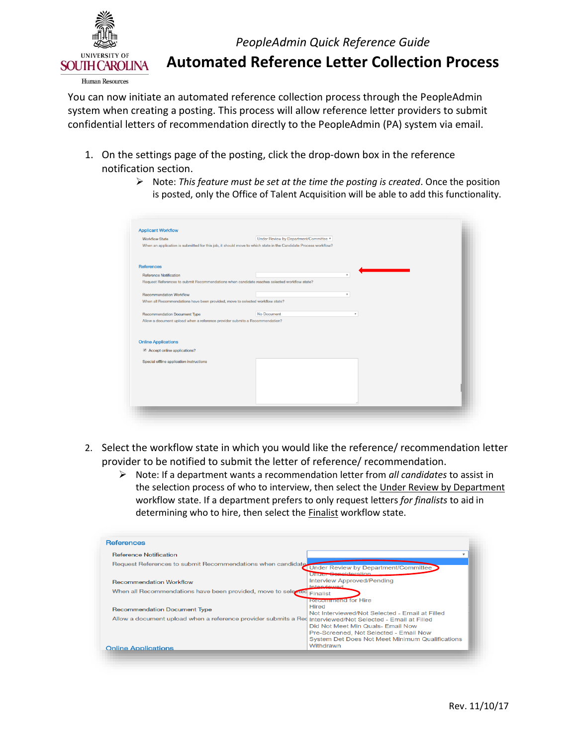

*PeopleAdmin Quick Reference Guide* 

**Automated Reference Letter Collection Process** 

 You can now initiate an automated reference collection process through the PeopleAdmin system when creating a posting. This process will allow reference letter providers to submit confidential letters of recommendation directly to the PeopleAdmin (PA) system via email.

- notification section. 1. On the settings page of the posting, click the drop-down box in the reference
	- $\triangleright$  Note: *This feature must be set at the time the posting is created*. Once the position is posted, only the Office of Talent Acquisition will be able to add this functionality.

| <b>Applicant Workflow</b>                                                                    |                                                                                                                 |  |
|----------------------------------------------------------------------------------------------|-----------------------------------------------------------------------------------------------------------------|--|
| <b>Workflow State</b>                                                                        | Under Review by Department/Committee v                                                                          |  |
|                                                                                              | When an application is submitted for this job, it should move to which state in the Candidate Process workflow? |  |
|                                                                                              |                                                                                                                 |  |
| References                                                                                   |                                                                                                                 |  |
| <b>Reference Notification</b>                                                                | $\boldsymbol{\mathrm{v}}$                                                                                       |  |
| Request References to submit Recommendations when candidate reaches selected workflow state? |                                                                                                                 |  |
|                                                                                              |                                                                                                                 |  |
| <b>Recommendation Workflow</b>                                                               | $\tau$                                                                                                          |  |
| When all Recommendations have been provided, move to selected workflow state?                |                                                                                                                 |  |
| <b>Recommendation Document Type</b>                                                          | No Document<br>$\tau$                                                                                           |  |
| Allow a document upload when a reference provider submits a Recommendation?                  |                                                                                                                 |  |
|                                                                                              |                                                                                                                 |  |
|                                                                                              |                                                                                                                 |  |
| <b>Online Applications</b>                                                                   |                                                                                                                 |  |
| $\blacktriangleright$ Accept online applications?                                            |                                                                                                                 |  |
| Special offline application instructions                                                     |                                                                                                                 |  |
|                                                                                              |                                                                                                                 |  |
|                                                                                              |                                                                                                                 |  |
|                                                                                              |                                                                                                                 |  |
|                                                                                              |                                                                                                                 |  |
|                                                                                              |                                                                                                                 |  |
|                                                                                              |                                                                                                                 |  |

- 2. Select the workflow state in which you would like the reference/ recommendation letter provider to be notified to submit the letter of reference/ recommendation.
	- workflow state. If a department prefers to only request letters *for finalists* to aid in Note: If a department wants a recommendation letter from *all candidates* to assist in the selection process of who to interview, then select the Under Review by Department determining who to hire, then select the Finalist workflow state.

| <b>References</b>                                                                                      |                                                                                                                                                                                                                                                                      |
|--------------------------------------------------------------------------------------------------------|----------------------------------------------------------------------------------------------------------------------------------------------------------------------------------------------------------------------------------------------------------------------|
| <b>Reference Notification</b>                                                                          |                                                                                                                                                                                                                                                                      |
| Request References to submit Recommendations when candidate                                            | Under Review by Department/Committee<br>Under Capeideration                                                                                                                                                                                                          |
| <b>Recommendation Workflow</b>                                                                         | Interview Approved/Pending                                                                                                                                                                                                                                           |
| When all Recommendations have been provided, move to selected                                          | Intensiewed<br>Finalist                                                                                                                                                                                                                                              |
| <b>Recommendation Document Type</b><br>Allow a document upload when a reference provider submits a Red | <b>Recommend</b> for Hire<br>Hired<br>Not Interviewed/Not Selected - Email at Filled<br>Interviewed/Not Selected - Email at Filled<br>Did Not Meet Min Quals- Email Now<br>Pre-Screened, Not Selected - Email Now<br>System Det Does Not Meet Minimum Qualifications |
| <b>Online Applications</b>                                                                             | Withdrawn                                                                                                                                                                                                                                                            |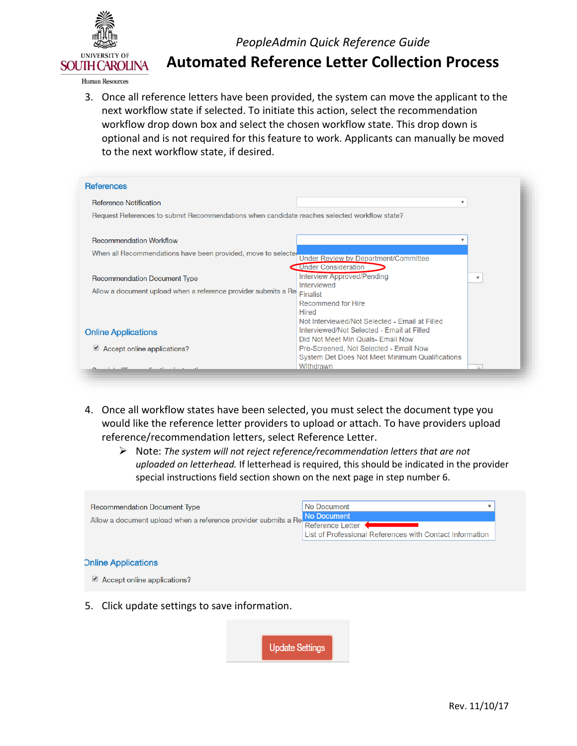

## *PeopleAdmin Quick Reference Guide*

**Automated Reference Letter Collection Process** 

 3. Once all reference letters have been provided, the system can move the applicant to the workflow drop down box and select the chosen workflow state. This drop down is optional and is not required for this feature to work. Applicants can manually be moved to the next workflow state, if desired. next workflow state if selected. To initiate this action, select the recommendation

| <b>References</b>                                                                            |                                                                                                                                   |                         |
|----------------------------------------------------------------------------------------------|-----------------------------------------------------------------------------------------------------------------------------------|-------------------------|
| <b>Reference Notification</b>                                                                | ▼                                                                                                                                 |                         |
| Request References to submit Recommendations when candidate reaches selected workflow state? |                                                                                                                                   |                         |
| <b>Recommendation Workflow</b>                                                               |                                                                                                                                   |                         |
| When all Recommendations have been provided, move to selected                                | Under Review by Department/Committee<br><b>Under Consideration</b>                                                                |                         |
| <b>Recommendation Document Type</b>                                                          | <b>Interview Approved/Pending</b><br>Interviewed                                                                                  | $\overline{\mathbf{v}}$ |
| Allow a document upload when a reference provider submits a Re                               | <b>Finalist</b>                                                                                                                   |                         |
|                                                                                              | Recommend for Hire<br>Hired                                                                                                       |                         |
| <b>Online Applications</b>                                                                   | Not Interviewed/Not Selected - Email at Filled<br>Interviewed/Not Selected - Email at Filled<br>Did Not Meet Min Quals- Email Now |                         |
| $\triangle$ Accept online applications?                                                      | Pre-Screened, Not Selected - Email Now<br>System Det Does Not Meet Minimum Qualifications                                         |                         |
|                                                                                              | Withdrawn                                                                                                                         |                         |

- 4. Once all workflow states have been selected, you must select the document type you would like the reference letter providers to upload or attach. To have providers upload reference/recommendation letters, select Reference Letter.
	- Note: *The system will not reject reference/recommendation letters that are not uploaded on letterhead.* If letterhead is required, this should be indicated in the provider special instructions field section shown on the next page in step number 6.



**Update Settings**